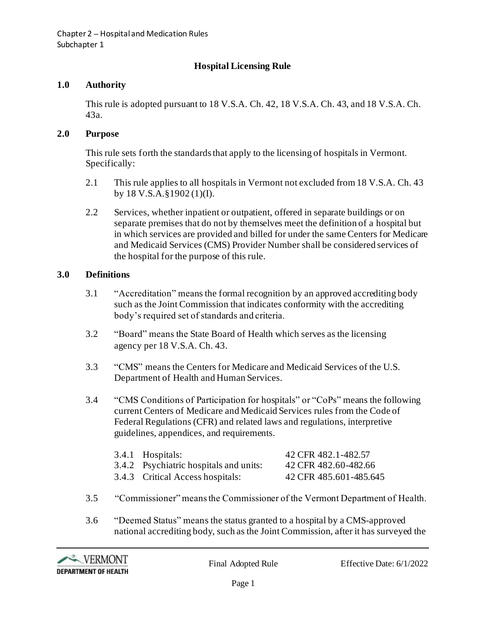# **Hospital Licensing Rule**

#### **1.0 Authority**

This rule is adopted pursuant to 18 V.S.A. Ch. 42, 18 V.S.A. Ch. 43, and 18 V.S.A. Ch. 43a.

#### **2.0 Purpose**

This rule sets forth the standards that apply to the licensing of hospitals in Vermont. Specifically:

- 2.1 This rule applies to all hospitals in Vermont not excluded from 18 V.S.A. Ch. 43 by 18 V.S.A.§1902 (1)(I).
- 2.2 Services, whether inpatient or outpatient, offered in separate buildings or on separate premises that do not by themselves meet the definition of a hospital but in which services are provided and billed for under the same Centers for Medicare and Medicaid Services (CMS) Provider Number shall be considered services of the hospital for the purpose of this rule.

#### **3.0 Definitions**

- 3.1 "Accreditation" means the formal recognition by an approved accrediting body such as the Joint Commission that indicates conformity with the accrediting body's required set of standards and criteria.
- 3.2 "Board" means the State Board of Health which serves as the licensing agency per 18 V.S.A. Ch. 43.
- 3.3 "CMS" means the Centers for Medicare and Medicaid Services of the U.S. Department of Health and Human Services.
- 3.4 "CMS Conditions of Participation for hospitals" or "CoPs" means the following current Centers of Medicare and Medicaid Services rules from the Code of Federal Regulations (CFR) and related laws and regulations, interpretive guidelines, appendices, and requirements.

| 3.4.1 Hospitals:                       | 42 CFR 482.1-482.57    |
|----------------------------------------|------------------------|
| 3.4.2 Psychiatric hospitals and units: | 42 CFR 482.60-482.66   |
| 3.4.3 Critical Access hospitals:       | 42 CFR 485.601-485.645 |

- 3.5 "Commissioner" means the Commissioner of the Vermont Department of Health.
- 3.6 "Deemed Status" means the status granted to a hospital by a CMS-approved national accrediting body, such as the Joint Commission, after it has surveyed the

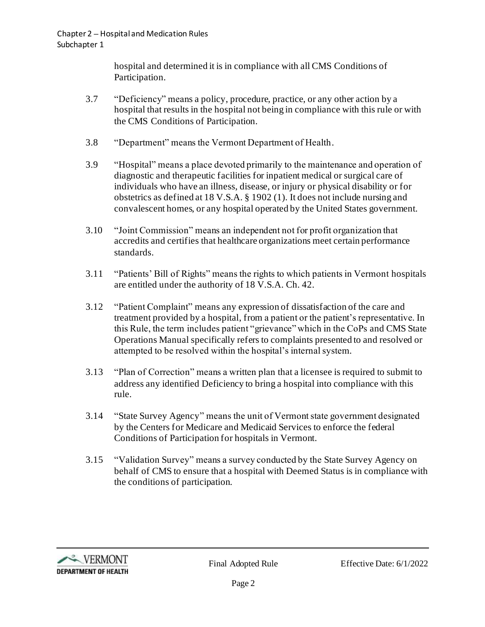hospital and determined it is in compliance with all CMS Conditions of Participation.

- 3.7 "Deficiency" means a policy, procedure, practice, or any other action by a hospital that results in the hospital not being in compliance with this rule or with the CMS Conditions of Participation.
- 3.8 "Department" means the Vermont Department of Health.
- 3.9 "Hospital" means a place devoted primarily to the maintenance and operation of diagnostic and therapeutic facilities for inpatient medical or surgical care of individuals who have an illness, disease, or injury or physical disability or for obstetrics as defined at 18 V.S.A. § 1902 (1). It does not include nursing and convalescent homes, or any hospital operated by the United States government.
- 3.10 "Joint Commission" means an independent not for profit organization that accredits and certifies that healthcare organizations meet certain performance standards.
- 3.11 "Patients' Bill of Rights" means the rights to which patients in Vermont hospitals are entitled under the authority of 18 V.S.A. Ch. 42.
- 3.12 "Patient Complaint" means any expression of dissatisfaction of the care and treatment provided by a hospital, from a patient or the patient's representative. In this Rule, the term includes patient "grievance" which in the CoPs and CMS State Operations Manual specifically refers to complaints presented to and resolved or attempted to be resolved within the hospital's internal system.
- 3.13 "Plan of Correction" means a written plan that a licensee is required to submit to address any identified Deficiency to bring a hospital into compliance with this rule.
- 3.14 "State Survey Agency" means the unit of Vermont state government designated by the Centers for Medicare and Medicaid Services to enforce the federal Conditions of Participation for hospitals in Vermont.
- 3.15 "Validation Survey" means a survey conducted by the State Survey Agency on behalf of CMS to ensure that a hospital with Deemed Status is in compliance with the conditions of participation.

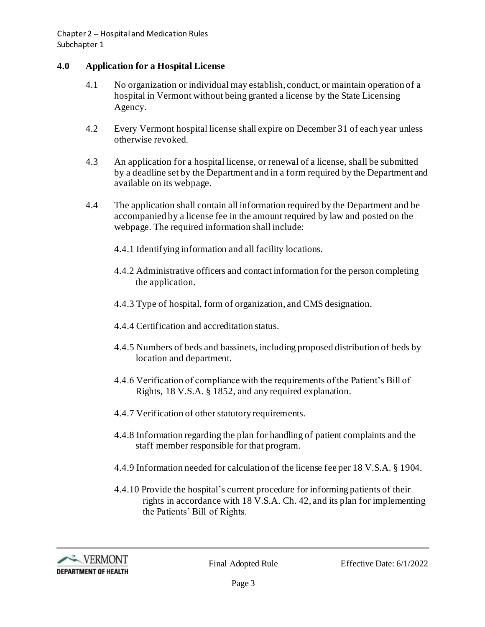## **4.0 Application for a Hospital License**

- 4.1 No organization or individual may establish, conduct, or maintain operation of a hospital in Vermont without being granted a license by the State Licensing Agency.
- 4.2 Every Vermont hospital license shall expire on December 31 of each year unless otherwise revoked.
- 4.3 An application for a hospital license, or renewal of a license, shall be submitted by a deadline set by the Department and in a form required by the Department and available on its webpage.
- 4.4 The application shall contain all information required by the Department and be accompanied by a license fee in the amount required by law and posted on the webpage. The required information shall include:
	- 4.4.1 Identifying information and all facility locations.
	- 4.4.2 Administrative officers and contact information for the person completing the application.
	- 4.4.3 Type of hospital, form of organization, and CMS designation.
	- 4.4.4 Certification and accreditation status.
	- 4.4.5 Numbers of beds and bassinets, including proposed distribution of beds by location and department.
	- 4.4.6 Verification of compliance with the requirements of the Patient's Bill of Rights, 18 V.S.A. § 1852, and any required explanation.
	- 4.4.7 Verification of other statutory requirements.
	- 4.4.8 Information regarding the plan for handling of patient complaints and the staff member responsible for that program.
	- 4.4.9 Information needed for calculation of the license fee per 18 V.S.A. § 1904.
	- 4.4.10 Provide the hospital's current procedure for informing patients of their rights in accordance with 18 V.S.A. Ch. 42, and its plan for implementing the Patients' Bill of Rights.

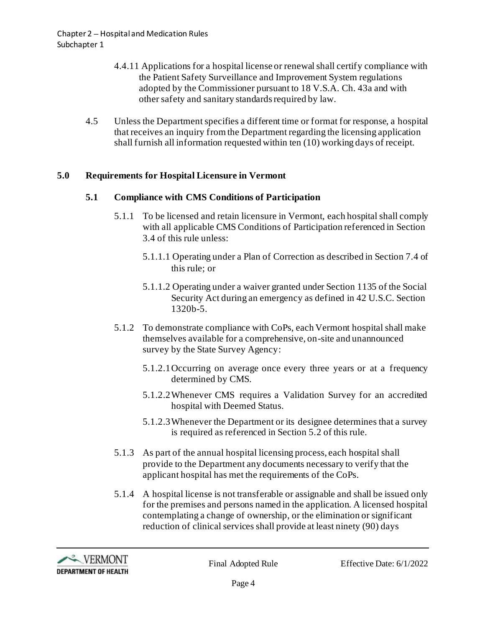- 4.4.11 Applications for a hospital license or renewal shall certify compliance with the Patient Safety Surveillance and Improvement System regulations adopted by the Commissioner pursuant to 18 V.S.A. Ch. 43a and with other safety and sanitary standards required by law.
- 4.5 Unless the Department specifies a different time or format for response, a hospital that receives an inquiry from the Department regarding the licensing application shall furnish all information requested within ten (10) working days of receipt.

## **5.0 Requirements for Hospital Licensure in Vermont**

## **5.1 Compliance with CMS Conditions of Participation**

- 5.1.1 To be licensed and retain licensure in Vermont, each hospital shall comply with all applicable CMS Conditions of Participation referenced in Section 3.4 of this rule unless:
	- 5.1.1.1 Operating under a Plan of Correction as described in Section 7.4 of this rule; or
	- 5.1.1.2 Operating under a waiver granted under Section 1135 of the Social Security Act during an emergency as defined in 42 U.S.C. Section 1320b-5.
- 5.1.2 To demonstrate compliance with CoPs, each Vermont hospital shall make themselves available for a comprehensive, on-site and unannounced survey by the State Survey Agency:
	- 5.1.2.1Occurring on average once every three years or at a frequency determined by CMS.
	- 5.1.2.2Whenever CMS requires a Validation Survey for an accredited hospital with Deemed Status.
	- 5.1.2.3Whenever the Department or its designee determines that a survey is required as referenced in Section 5.2 of this rule.
- 5.1.3 As part of the annual hospital licensing process, each hospital shall provide to the Department any documents necessary to verify that the applicant hospital has met the requirements of the CoPs.
- 5.1.4 A hospital license is not transferable or assignable and shall be issued only for the premises and persons named in the application. A licensed hospital contemplating a change of ownership, or the elimination or significant reduction of clinical services shall provide at least ninety (90) days

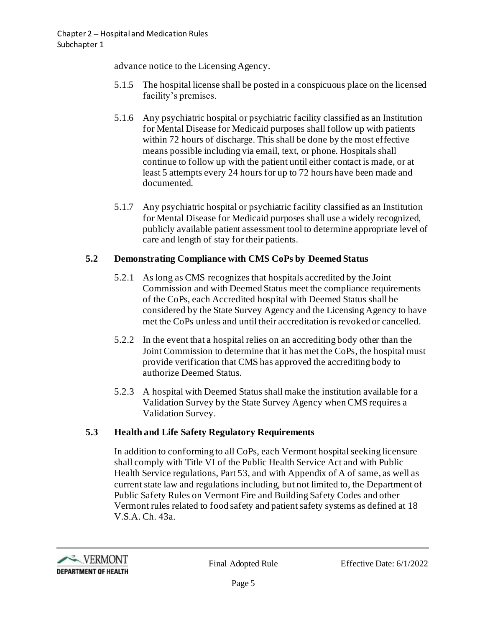advance notice to the Licensing Agency.

- 5.1.5 The hospital license shall be posted in a conspicuous place on the licensed facility's premises.
- 5.1.6 Any psychiatric hospital or psychiatric facility classified as an Institution for Mental Disease for Medicaid purposes shall follow up with patients within 72 hours of discharge. This shall be done by the most effective means possible including via email, text, or phone. Hospitals shall continue to follow up with the patient until either contact is made, or at least 5 attempts every 24 hours for up to 72 hours have been made and documented.
- 5.1.7 Any psychiatric hospital or psychiatric facility classified as an Institution for Mental Disease for Medicaid purposes shall use a widely recognized, publicly available patient assessment tool to determine appropriate level of care and length of stay for their patients.

## **5.2 Demonstrating Compliance with CMS CoPs by Deemed Status**

- 5.2.1 As long as CMS recognizes that hospitals accredited by the Joint Commission and with Deemed Status meet the compliance requirements of the CoPs, each Accredited hospital with Deemed Status shall be considered by the State Survey Agency and the Licensing Agency to have met the CoPs unless and until their accreditation is revoked or cancelled.
- 5.2.2 In the event that a hospital relies on an accrediting body other than the Joint Commission to determine that it has met the CoPs, the hospital must provide verification that CMS has approved the accrediting body to authorize Deemed Status.
- 5.2.3 A hospital with Deemed Status shall make the institution available for a Validation Survey by the State Survey Agency when CMS requires a Validation Survey.

## **5.3 Health and Life Safety Regulatory Requirements**

In addition to conforming to all CoPs, each Vermont hospital seeking licensure shall comply with Title VI of the Public Health Service Act and with Public Health Service regulations, Part 53, and with Appendix of A of same, as well as current state law and regulations including, but not limited to, the Department of Public Safety Rules on Vermont Fire and Building Safety Codes and other Vermont rules related to food safety and patient safety systems as defined at 18 V.S.A. Ch. 43a.

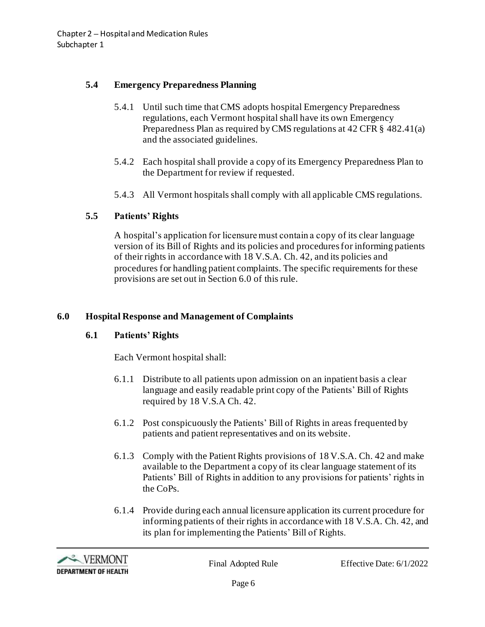## **5.4 Emergency Preparedness Planning**

- 5.4.1 Until such time that CMS adopts hospital Emergency Preparedness regulations, each Vermont hospital shall have its own Emergency Preparedness Plan as required by CMS regulations at 42 CFR § 482.41(a) and the associated guidelines.
- 5.4.2 Each hospital shall provide a copy of its Emergency Preparedness Plan to the Department for review if requested.
- 5.4.3 All Vermont hospitals shall comply with all applicable CMS regulations.

## **5.5 Patients' Rights**

A hospital's application for licensure must contain a copy of its clear language version of its Bill of Rights and its policies and procedures for informing patients of their rights in accordance with 18 V.S.A. Ch. 42, and its policies and procedures for handling patient complaints. The specific requirements for these provisions are set out in Section 6.0 of this rule.

## **6.0 Hospital Response and Management of Complaints**

## **6.1 Patients' Rights**

Each Vermont hospital shall:

- 6.1.1 Distribute to all patients upon admission on an inpatient basis a clear language and easily readable print copy of the Patients' Bill of Rights required by 18 V.S.A Ch. 42.
- 6.1.2 Post conspicuously the Patients' Bill of Rights in areas frequented by patients and patient representatives and on its website.
- 6.1.3 Comply with the Patient Rights provisions of 18 V.S.A. Ch. 42 and make available to the Department a copy of its clear language statement of its Patients' Bill of Rights in addition to any provisions for patients' rights in the CoPs.
- 6.1.4 Provide during each annual licensure application its current procedure for informing patients of their rights in accordance with 18 V.S.A. Ch. 42, and its plan for implementing the Patients' Bill of Rights.

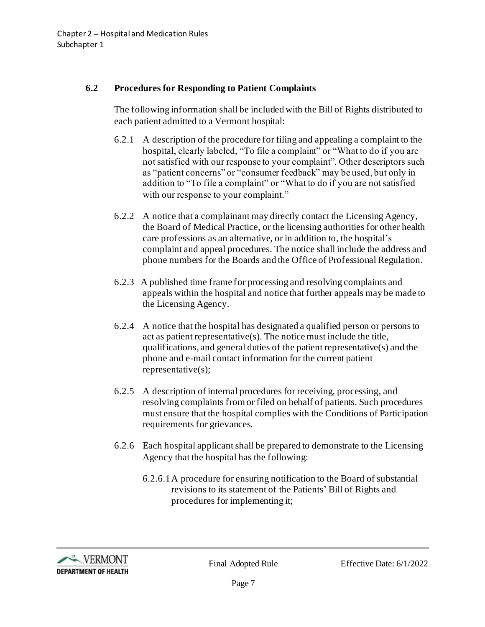#### **6.2 Procedures for Responding to Patient Complaints**

The following information shall be included with the Bill of Rights distributed to each patient admitted to a Vermont hospital:

- 6.2.1 A description of the procedure for filing and appealing a complaint to the hospital, clearly labeled, "To file a complaint" or "What to do if you are not satisfied with our response to your complaint". Other descriptors such as "patient concerns" or "consumer feedback" may be used, but only in addition to "To file a complaint" or "What to do if you are not satisfied with our response to your complaint."
- 6.2.2 A notice that a complainant may directly contact the Licensing Agency, the Board of Medical Practice, or the licensing authorities for other health care professions as an alternative, or in addition to, the hospital's complaint and appeal procedures. The notice shall include the address and phone numbers for the Boards and the Office of Professional Regulation.
- 6.2.3 A published time frame for processing and resolving complaints and appeals within the hospital and notice that further appeals may be made to the Licensing Agency.
- 6.2.4 A notice that the hospital has designated a qualified person or persons to act as patient representative(s). The notice must include the title, qualifications, and general duties of the patient representative(s) and the phone and e-mail contact information for the current patient representative(s);
- 6.2.5 A description of internal procedures for receiving, processing, and resolving complaints from or filed on behalf of patients. Such procedures must ensure that the hospital complies with the Conditions of Participation requirements for grievances.
- 6.2.6 Each hospital applicant shall be prepared to demonstrate to the Licensing Agency that the hospital has the following:
	- 6.2.6.1A procedure for ensuring notification to the Board of substantial revisions to its statement of the Patients' Bill of Rights and procedures for implementing it;

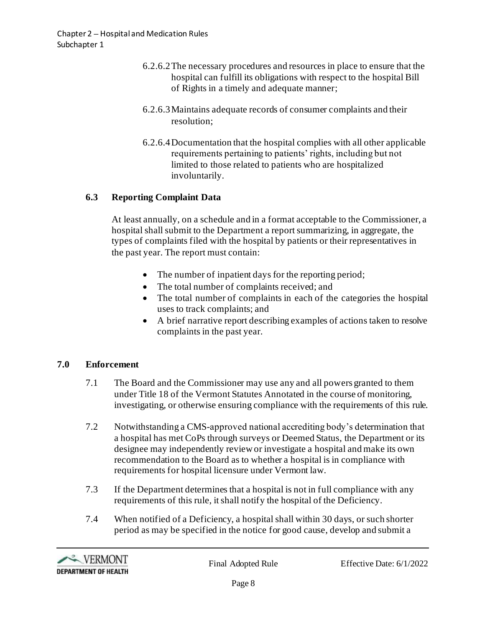- 6.2.6.2The necessary procedures and resources in place to ensure that the hospital can fulfill its obligations with respect to the hospital Bill of Rights in a timely and adequate manner;
- 6.2.6.3Maintains adequate records of consumer complaints and their resolution;
- 6.2.6.4Documentation that the hospital complies with all other applicable requirements pertaining to patients' rights, including but not limited to those related to patients who are hospitalized involuntarily.

## **6.3 Reporting Complaint Data**

At least annually, on a schedule and in a format acceptable to the Commissioner, a hospital shall submit to the Department a report summarizing, in aggregate, the types of complaints filed with the hospital by patients or their representatives in the past year. The report must contain:

- The number of inpatient days for the reporting period;
- The total number of complaints received; and
- The total number of complaints in each of the categories the hospital uses to track complaints; and
- A brief narrative report describing examples of actions taken to resolve complaints in the past year.

## **7.0 Enforcement**

- 7.1 The Board and the Commissioner may use any and all powers granted to them under Title 18 of the Vermont Statutes Annotated in the course of monitoring, investigating, or otherwise ensuring compliance with the requirements of this rule.
- 7.2 Notwithstanding a CMS-approved national accrediting body's determination that a hospital has met CoPs through surveys or Deemed Status, the Department or its designee may independently review or investigate a hospital and make its own recommendation to the Board as to whether a hospital is in compliance with requirements for hospital licensure under Vermont law.
- 7.3 If the Department determines that a hospital is not in full compliance with any requirements of this rule, it shall notify the hospital of the Deficiency.
- 7.4 When notified of a Deficiency, a hospital shall within 30 days, or such shorter period as may be specified in the notice for good cause, develop and submit a

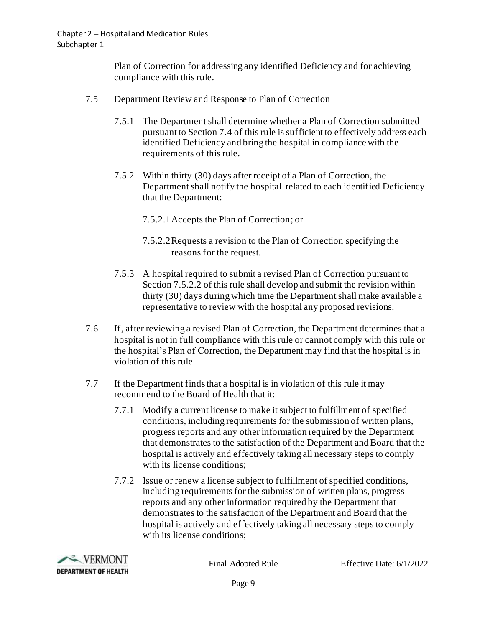Plan of Correction for addressing any identified Deficiency and for achieving compliance with this rule.

- 7.5 Department Review and Response to Plan of Correction
	- 7.5.1 The Department shall determine whether a Plan of Correction submitted pursuant to Section 7.4 of this rule is sufficient to effectively address each identified Deficiency and bring the hospital in compliance with the requirements of this rule.
	- 7.5.2 Within thirty (30) days after receipt of a Plan of Correction, the Department shall notify the hospital related to each identified Deficiency that the Department:
		- 7.5.2.1Accepts the Plan of Correction; or
		- 7.5.2.2Requests a revision to the Plan of Correction specifying the reasons for the request.
	- 7.5.3 A hospital required to submit a revised Plan of Correction pursuant to Section 7.5.2.2 of this rule shall develop and submit the revision within thirty (30) days during which time the Department shall make available a representative to review with the hospital any proposed revisions.
- 7.6 If, after reviewing a revised Plan of Correction, the Department determines that a hospital is not in full compliance with this rule or cannot comply with this rule or the hospital's Plan of Correction, the Department may find that the hospital is in violation of this rule.
- 7.7 If the Department finds that a hospital is in violation of this rule it may recommend to the Board of Health that it:
	- 7.7.1 Modify a current license to make it subject to fulfillment of specified conditions, including requirements for the submission of written plans, progress reports and any other information required by the Department that demonstrates to the satisfaction of the Department and Board that the hospital is actively and effectively taking all necessary steps to comply with its license conditions:
	- 7.7.2 Issue or renew a license subject to fulfillment of specified conditions, including requirements for the submission of written plans, progress reports and any other information required by the Department that demonstrates to the satisfaction of the Department and Board that the hospital is actively and effectively taking all necessary steps to comply with its license conditions;